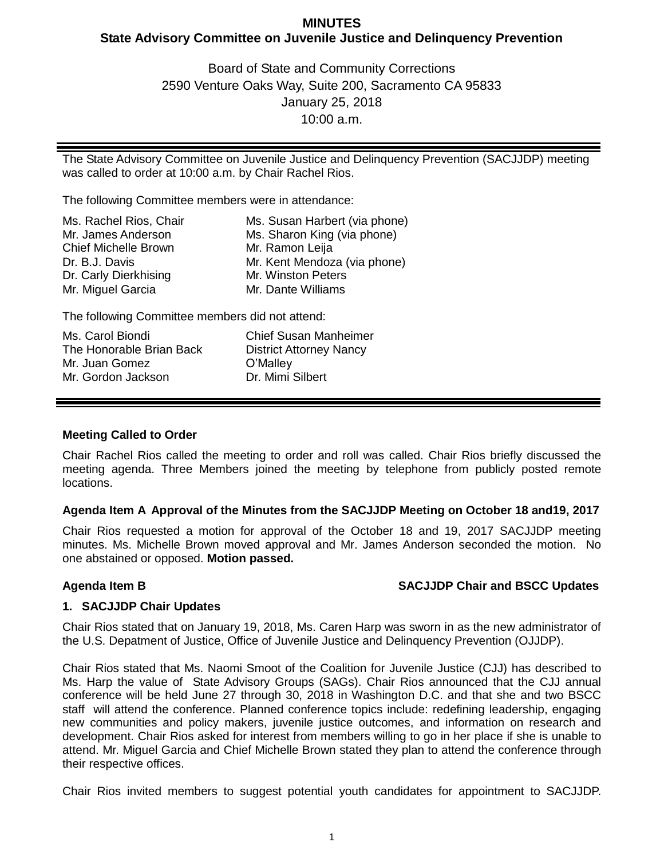## **MINUTES State Advisory Committee on Juvenile Justice and Delinquency Prevention**

Board of State and Community Corrections 2590 Venture Oaks Way, Suite 200, Sacramento CA 95833 January 25, 2018 10:00 a.m.

The State Advisory Committee on Juvenile Justice and Delinquency Prevention (SACJJDP) meeting was called to order at 10:00 a.m. by Chair Rachel Rios.

The following Committee members were in attendance:

| Ms. Rachel Rios, Chair      | Ms. Susan Harbert (via phone) |
|-----------------------------|-------------------------------|
| Mr. James Anderson          | Ms. Sharon King (via phone)   |
| <b>Chief Michelle Brown</b> | Mr. Ramon Leija               |
| Dr. B.J. Davis              | Mr. Kent Mendoza (via phone)  |
| Dr. Carly Dierkhising       | Mr. Winston Peters            |
| Mr. Miguel Garcia           | Mr. Dante Williams            |

The following Committee members did not attend:

| Ms. Carol Biondi         | Chief Susan Manheimer          |
|--------------------------|--------------------------------|
| The Honorable Brian Back | <b>District Attorney Nancy</b> |
| Mr. Juan Gomez           | O'Malley                       |
| Mr. Gordon Jackson       | Dr. Mimi Silbert               |

### **Meeting Called to Order**

Chair Rachel Rios called the meeting to order and roll was called. Chair Rios briefly discussed the meeting agenda. Three Members joined the meeting by telephone from publicly posted remote locations.

### **Agenda Item A Approval of the Minutes from the SACJJDP Meeting on October 18 and19, 2017**

Chair Rios requested a motion for approval of the October 18 and 19, 2017 SACJJDP meeting minutes. Ms. Michelle Brown moved approval and Mr. James Anderson seconded the motion. No one abstained or opposed. **Motion passed.**

### **Agenda Item B SACJJDP Chair and BSCC Updates**

### **1. SACJJDP Chair Updates**

Chair Rios stated that on January 19, 2018, Ms. Caren Harp was sworn in as the new administrator of the U.S. Depatment of Justice, Office of Juvenile Justice and Delinquency Prevention (OJJDP).

Chair Rios stated that Ms. Naomi Smoot of the Coalition for Juvenile Justice (CJJ) has described to Ms. Harp the value of State Advisory Groups (SAGs). Chair Rios announced that the CJJ annual conference will be held June 27 through 30, 2018 in Washington D.C. and that she and two BSCC staff will attend the conference. Planned conference topics include: redefining leadership, engaging new communities and policy makers, juvenile justice outcomes, and information on research and development. Chair Rios asked for interest from members willing to go in her place if she is unable to attend. Mr. Miguel Garcia and Chief Michelle Brown stated they plan to attend the conference through their respective offices.

Chair Rios invited members to suggest potential youth candidates for appointment to SACJJDP.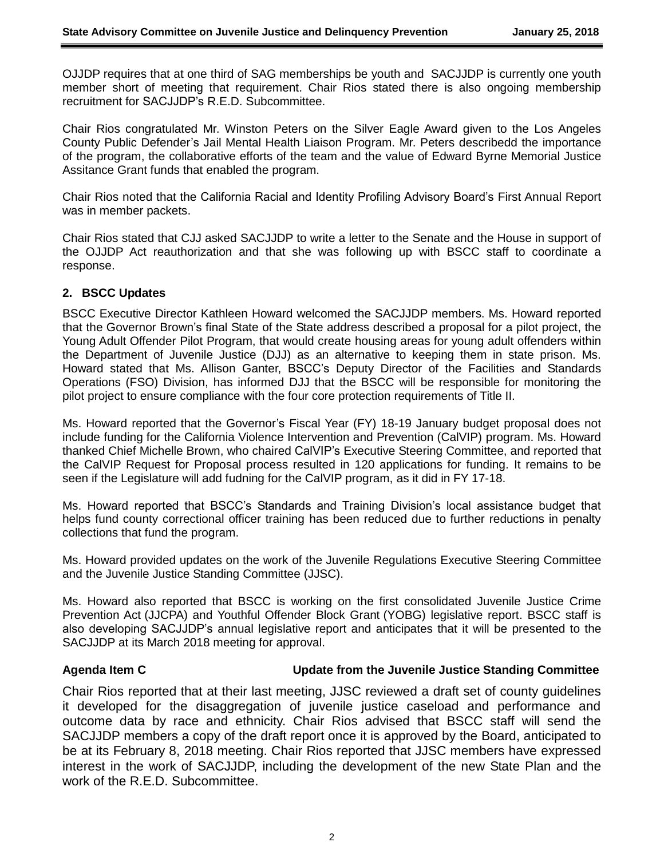OJJDP requires that at one third of SAG memberships be youth and SACJJDP is currently one youth member short of meeting that requirement. Chair Rios stated there is also ongoing membership recruitment for SACJJDP's R.E.D. Subcommittee.

Chair Rios congratulated Mr. Winston Peters on the Silver Eagle Award given to the Los Angeles County Public Defender's Jail Mental Health Liaison Program. Mr. Peters describedd the importance of the program, the collaborative efforts of the team and the value of Edward Byrne Memorial Justice Assitance Grant funds that enabled the program.

Chair Rios noted that the California Racial and Identity Profiling Advisory Board's First Annual Report was in member packets.

Chair Rios stated that CJJ asked SACJJDP to write a letter to the Senate and the House in support of the OJJDP Act reauthorization and that she was following up with BSCC staff to coordinate a response.

#### **2. BSCC Updates**

BSCC Executive Director Kathleen Howard welcomed the SACJJDP members. Ms. Howard reported that the Governor Brown's final State of the State address described a proposal for a pilot project, the Young Adult Offender Pilot Program, that would create housing areas for young adult offenders within the Department of Juvenile Justice (DJJ) as an alternative to keeping them in state prison. Ms. Howard stated that Ms. Allison Ganter, BSCC's Deputy Director of the Facilities and Standards Operations (FSO) Division, has informed DJJ that the BSCC will be responsible for monitoring the pilot project to ensure compliance with the four core protection requirements of Title II.

Ms. Howard reported that the Governor's Fiscal Year (FY) 18-19 January budget proposal does not include funding for the California Violence Intervention and Prevention (CalVIP) program. Ms. Howard thanked Chief Michelle Brown, who chaired CalVIP's Executive Steering Committee, and reported that the CalVIP Request for Proposal process resulted in 120 applications for funding. It remains to be seen if the Legislature will add fudning for the CalVIP program, as it did in FY 17-18.

Ms. Howard reported that BSCC's Standards and Training Division's local assistance budget that helps fund county correctional officer training has been reduced due to further reductions in penalty collections that fund the program.

Ms. Howard provided updates on the work of the Juvenile Regulations Executive Steering Committee and the Juvenile Justice Standing Committee (JJSC).

Ms. Howard also reported that BSCC is working on the first consolidated Juvenile Justice Crime Prevention Act (JJCPA) and Youthful Offender Block Grant (YOBG) legislative report. BSCC staff is also developing SACJJDP's annual legislative report and anticipates that it will be presented to the SACJJDP at its March 2018 meeting for approval.

#### **Agenda Item C Update from the Juvenile Justice Standing Committee**

Chair Rios reported that at their last meeting, JJSC reviewed a draft set of county guidelines it developed for the disaggregation of juvenile justice caseload and performance and outcome data by race and ethnicity. Chair Rios advised that BSCC staff will send the SACJJDP members a copy of the draft report once it is approved by the Board, anticipated to be at its February 8, 2018 meeting. Chair Rios reported that JJSC members have expressed interest in the work of SACJJDP, including the development of the new State Plan and the work of the R.E.D. Subcommittee.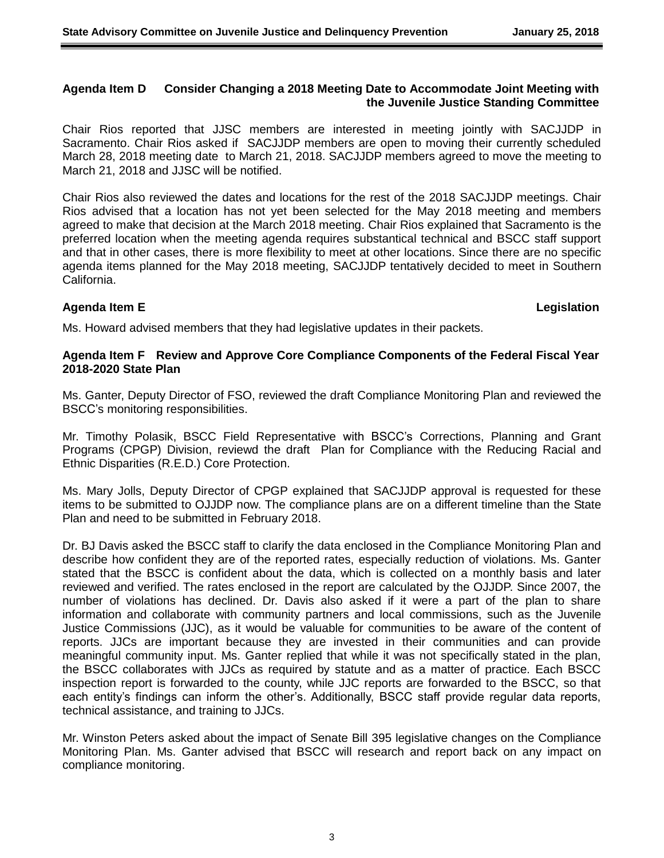#### **Agenda Item D Consider Changing a 2018 Meeting Date to Accommodate Joint Meeting with the Juvenile Justice Standing Committee**

Chair Rios reported that JJSC members are interested in meeting jointly with SACJJDP in Sacramento. Chair Rios asked if SACJJDP members are open to moving their currently scheduled March 28, 2018 meeting date to March 21, 2018. SACJJDP members agreed to move the meeting to March 21, 2018 and JJSC will be notified.

Chair Rios also reviewed the dates and locations for the rest of the 2018 SACJJDP meetings. Chair Rios advised that a location has not yet been selected for the May 2018 meeting and members agreed to make that decision at the March 2018 meeting. Chair Rios explained that Sacramento is the preferred location when the meeting agenda requires substantical technical and BSCC staff support and that in other cases, there is more flexibility to meet at other locations. Since there are no specific agenda items planned for the May 2018 meeting, SACJJDP tentatively decided to meet in Southern California.

### **Agenda Item E Legislation**

Ms. Howard advised members that they had legislative updates in their packets.

#### **Agenda Item F Review and Approve Core Compliance Components of the Federal Fiscal Year 2018-2020 State Plan**

Ms. Ganter, Deputy Director of FSO, reviewed the draft Compliance Monitoring Plan and reviewed the BSCC's monitoring responsibilities.

Mr. Timothy Polasik, BSCC Field Representative with BSCC's Corrections, Planning and Grant Programs (CPGP) Division, reviewd the draft Plan for Compliance with the Reducing Racial and Ethnic Disparities (R.E.D.) Core Protection.

Ms. Mary Jolls, Deputy Director of CPGP explained that SACJJDP approval is requested for these items to be submitted to OJJDP now. The compliance plans are on a different timeline than the State Plan and need to be submitted in February 2018.

Dr. BJ Davis asked the BSCC staff to clarify the data enclosed in the Compliance Monitoring Plan and describe how confident they are of the reported rates, especially reduction of violations. Ms. Ganter stated that the BSCC is confident about the data, which is collected on a monthly basis and later reviewed and verified. The rates enclosed in the report are calculated by the OJJDP. Since 2007, the number of violations has declined. Dr. Davis also asked if it were a part of the plan to share information and collaborate with community partners and local commissions, such as the Juvenile Justice Commissions (JJC), as it would be valuable for communities to be aware of the content of reports. JJCs are important because they are invested in their communities and can provide meaningful community input. Ms. Ganter replied that while it was not specifically stated in the plan, the BSCC collaborates with JJCs as required by statute and as a matter of practice. Each BSCC inspection report is forwarded to the county, while JJC reports are forwarded to the BSCC, so that each entity's findings can inform the other's. Additionally, BSCC staff provide regular data reports, technical assistance, and training to JJCs.

Mr. Winston Peters asked about the impact of Senate Bill 395 legislative changes on the Compliance Monitoring Plan. Ms. Ganter advised that BSCC will research and report back on any impact on compliance monitoring.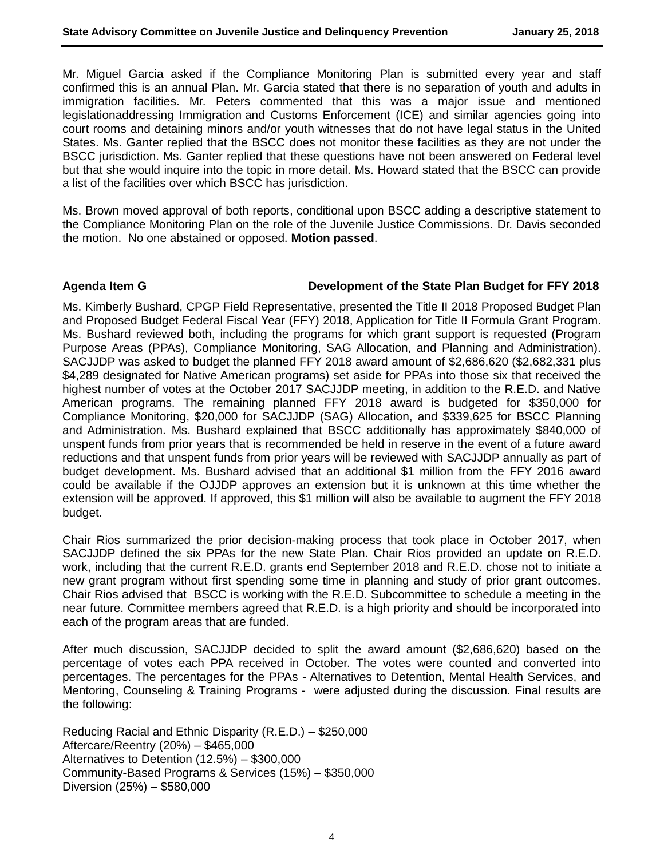Mr. Miguel Garcia asked if the Compliance Monitoring Plan is submitted every year and staff confirmed this is an annual Plan. Mr. Garcia stated that there is no separation of youth and adults in immigration facilities. Mr. Peters commented that this was a major issue and mentioned legislationaddressing Immigration and Customs Enforcement (ICE) and similar agencies going into court rooms and detaining minors and/or youth witnesses that do not have legal status in the United States. Ms. Ganter replied that the BSCC does not monitor these facilities as they are not under the BSCC jurisdiction. Ms. Ganter replied that these questions have not been answered on Federal level but that she would inquire into the topic in more detail. Ms. Howard stated that the BSCC can provide a list of the facilities over which BSCC has jurisdiction.

Ms. Brown moved approval of both reports, conditional upon BSCC adding a descriptive statement to the Compliance Monitoring Plan on the role of the Juvenile Justice Commissions. Dr. Davis seconded the motion. No one abstained or opposed. **Motion passed**.

#### **Agenda Item G Development of the State Plan Budget for FFY 2018**

Ms. Kimberly Bushard, CPGP Field Representative, presented the Title II 2018 Proposed Budget Plan and Proposed Budget Federal Fiscal Year (FFY) 2018, Application for Title II Formula Grant Program. Ms. Bushard reviewed both, including the programs for which grant support is requested (Program Purpose Areas (PPAs), Compliance Monitoring, SAG Allocation, and Planning and Administration). SACJJDP was asked to budget the planned FFY 2018 award amount of \$2,686,620 (\$2,682,331 plus \$4,289 designated for Native American programs) set aside for PPAs into those six that received the highest number of votes at the October 2017 SACJJDP meeting, in addition to the R.E.D. and Native American programs. The remaining planned FFY 2018 award is budgeted for \$350,000 for Compliance Monitoring, \$20,000 for SACJJDP (SAG) Allocation, and \$339,625 for BSCC Planning and Administration. Ms. Bushard explained that BSCC additionally has approximately \$840,000 of unspent funds from prior years that is recommended be held in reserve in the event of a future award reductions and that unspent funds from prior years will be reviewed with SACJJDP annually as part of budget development. Ms. Bushard advised that an additional \$1 million from the FFY 2016 award could be available if the OJJDP approves an extension but it is unknown at this time whether the extension will be approved. If approved, this \$1 million will also be available to augment the FFY 2018 budget.

Chair Rios summarized the prior decision-making process that took place in October 2017, when SACJJDP defined the six PPAs for the new State Plan. Chair Rios provided an update on R.E.D. work, including that the current R.E.D. grants end September 2018 and R.E.D. chose not to initiate a new grant program without first spending some time in planning and study of prior grant outcomes. Chair Rios advised that BSCC is working with the R.E.D. Subcommittee to schedule a meeting in the near future. Committee members agreed that R.E.D. is a high priority and should be incorporated into each of the program areas that are funded.

After much discussion, SACJJDP decided to split the award amount (\$2,686,620) based on the percentage of votes each PPA received in October. The votes were counted and converted into percentages. The percentages for the PPAs - Alternatives to Detention, Mental Health Services, and Mentoring, Counseling & Training Programs - were adjusted during the discussion. Final results are the following:

Reducing Racial and Ethnic Disparity (R.E.D.) – \$250,000 Aftercare/Reentry (20%) – \$465,000 Alternatives to Detention (12.5%) – \$300,000 Community-Based Programs & Services (15%) – \$350,000 Diversion (25%) – \$580,000